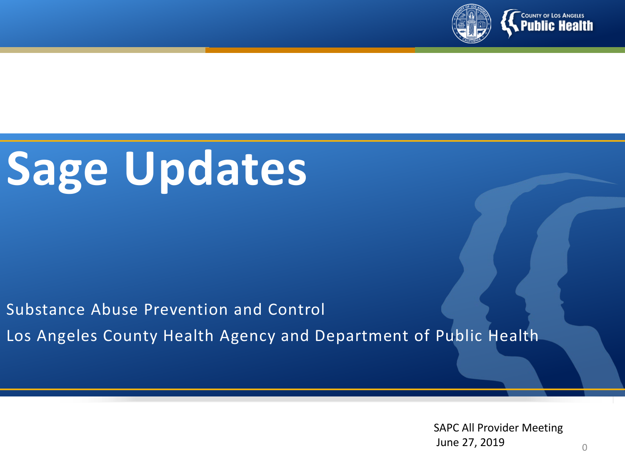

# **Sage Updates**

Substance Abuse Prevention and Control

Los Angeles County Health Agency and Department of Public Health

SAPC All Provider Meeting June 27, 2019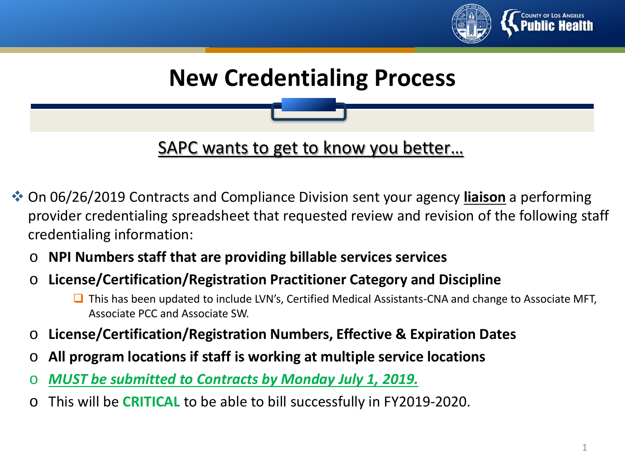

## **New Credentialing Process**

SAPC wants to get to know you better…

- On 06/26/2019 Contracts and Compliance Division sent your agency **liaison** a performing provider credentialing spreadsheet that requested review and revision of the following staff credentialing information:
	- o **NPI Numbers staff that are providing billable services services**
	- o **License/Certification/Registration Practitioner Category and Discipline**
		- $\Box$  This has been updated to include LVN's, Certified Medical Assistants-CNA and change to Associate MFT, Associate PCC and Associate SW.
	- o **License/Certification/Registration Numbers, Effective & Expiration Dates**
	- o **All program locations if staff is working at multiple service locations**
	- o *MUST be submitted to Contracts by Monday July 1, 2019.*
	- o This will be **CRITICAL** to be able to bill successfully in FY2019-2020.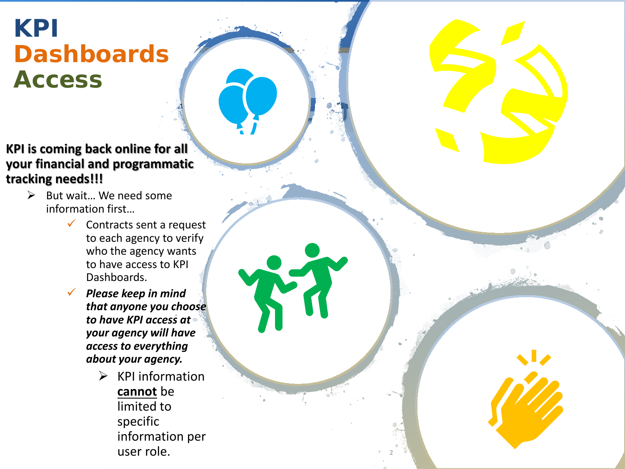# **KPI Dashboards Access**

**KPI is coming back online for all your financial and programmatic tracking needs!!!**

- $\triangleright$  But wait... We need some information first…
	- $\checkmark$  Contracts sent a request to each agency to verify who the agency wants to have access to KPI Dashboards.
	- *Please keep in mind that anyone you choose to have KPI access at your agency will have access to everything about your agency.* 
		- $\triangleright$  KPI information **cannot** be limited to specific information per user role.

2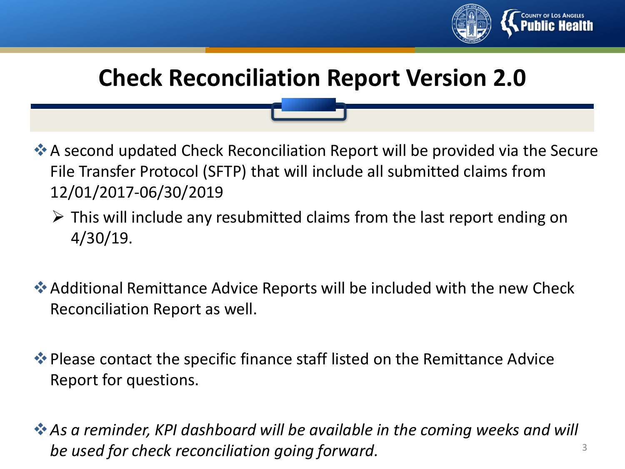

## **Check Reconciliation Report Version 2.0**

- A second updated Check Reconciliation Report will be provided via the Secure File Transfer Protocol (SFTP) that will include all submitted claims from 12/01/2017-06/30/2019
	- $\triangleright$  This will include any resubmitted claims from the last report ending on 4/30/19.
- Additional Remittance Advice Reports will be included with the new Check Reconciliation Report as well.
- Please contact the specific finance staff listed on the Remittance Advice Report for questions.

3 *As a reminder, KPI dashboard will be available in the coming weeks and will be used for check reconciliation going forward.*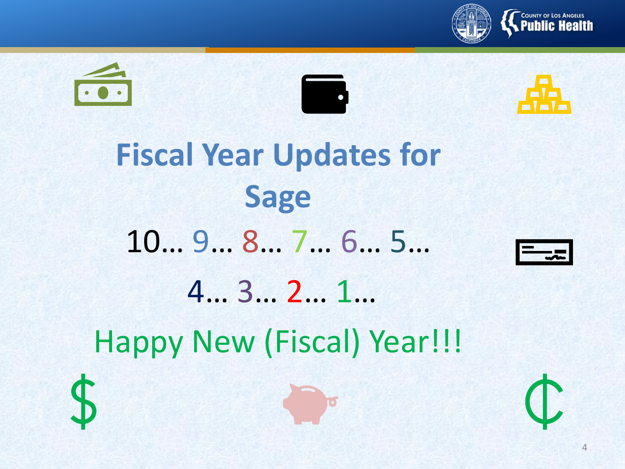









**Fiscal Year Updates for Sage** 10… 9… 8… 7… 6… 5… 4… 3… 2… 1…



Happy New (Fiscal) Year!!!

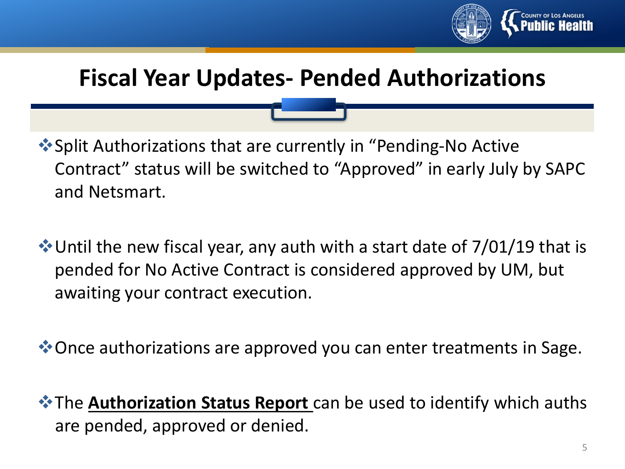

## **Fiscal Year Updates- Pended Authorizations**

Split Authorizations that are currently in "Pending-No Active Contract" status will be switched to "Approved" in early July by SAPC and Netsmart.

 $\cdot$  Until the new fiscal year, any auth with a start date of 7/01/19 that is pended for No Active Contract is considered approved by UM, but awaiting your contract execution.

**\*** Once authorizations are approved you can enter treatments in Sage.

 $\cdot$ The **Authorization Status Report** can be used to identify which auths are pended, approved or denied.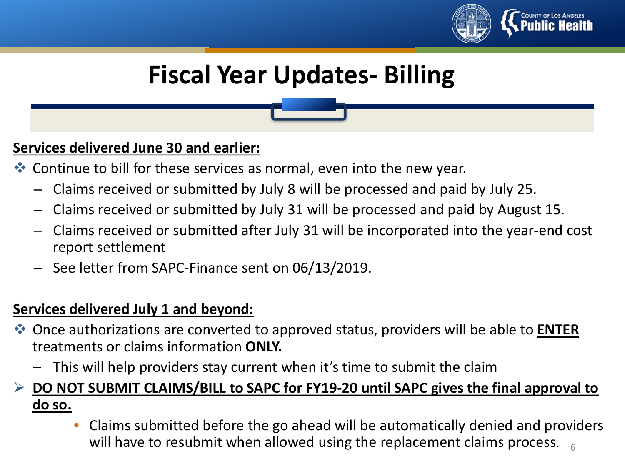

# **Fiscal Year Updates- Billing**

#### **Services delivered June 30 and earlier:**

- ◆ Continue to bill for these services as normal, even into the new year.
	- Claims received or submitted by July 8 will be processed and paid by July 25.
	- Claims received or submitted by July 31 will be processed and paid by August 15.
	- Claims received or submitted after July 31 will be incorporated into the year-end cost report settlement
	- See letter from SAPC-Finance sent on 06/13/2019.

#### **Services delivered July 1 and beyond:**

- Once authorizations are converted to approved status, providers will be able to **ENTER** treatments or claims information **ONLY.**
	- This will help providers stay current when it's time to submit the claim

#### **DO NOT SUBMIT CLAIMS/BILL to SAPC for FY19-20 until SAPC gives the final approval to do so.**

• Claims submitted before the go ahead will be automatically denied and providers will have to resubmit when allowed using the replacement claims process.  $6.66$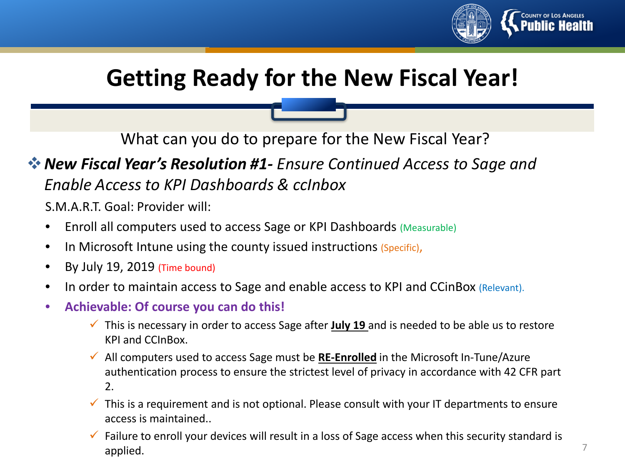

# **Getting Ready for the New Fiscal Year!**

What can you do to prepare for the New Fiscal Year?

## *New Fiscal Year's Resolution #1- Ensure Continued Access to Sage and Enable Access to KPI Dashboards & ccInbox*

S.M.A.R.T. Goal: Provider will:

- Enroll all computers used to access Sage or KPI Dashboards (Measurable)
- In Microsoft Intune using the county issued instructions (Specific),
- By July 19, 2019 (Time bound)
- In order to maintain access to Sage and enable access to KPI and CCinBox (Relevant).
- **Achievable: Of course you can do this!**
	- This is necessary in order to access Sage after **July 19** and is needed to be able us to restore KPI and CCInBox.
	- All computers used to access Sage must be **RE-Enrolled** in the Microsoft In-Tune/Azure authentication process to ensure the strictest level of privacy in accordance with 42 CFR part 2.
	- $\checkmark$  This is a requirement and is not optional. Please consult with your IT departments to ensure access is maintained..
	- $\checkmark$  Failure to enroll your devices will result in a loss of Sage access when this security standard is applied.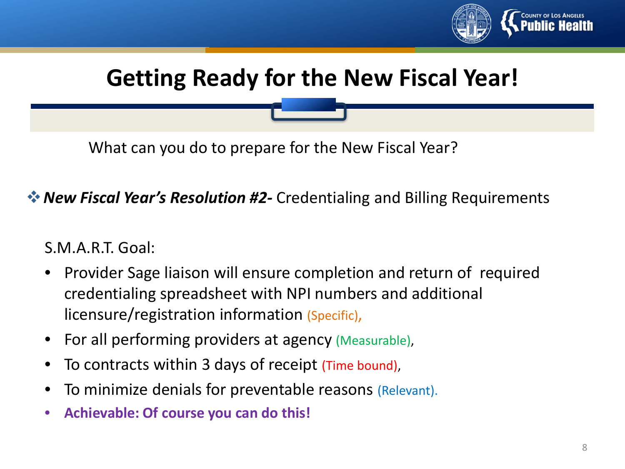

# **Getting Ready for the New Fiscal Year!**

What can you do to prepare for the New Fiscal Year?

### *New Fiscal Year's Resolution #2-* Credentialing and Billing Requirements

S.M.A.R.T. Goal:

- Provider Sage liaison will ensure completion and return of required credentialing spreadsheet with NPI numbers and additional licensure/registration information (Specific),
- For all performing providers at agency (Measurable),
- To contracts within 3 days of receipt (Time bound),
- To minimize denials for preventable reasons (Relevant).
- **Achievable: Of course you can do this!**